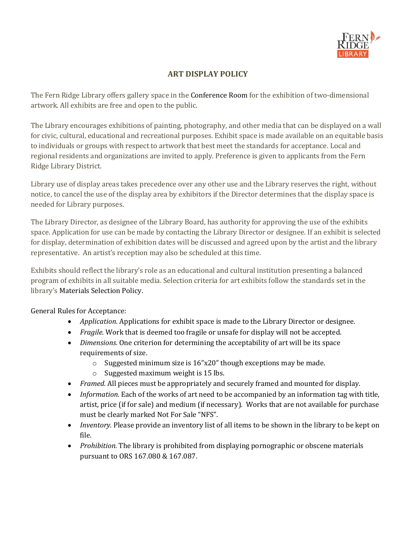

## **ART DISPLAY POLICY**

The Fern Ridge Library offers gallery space in the [Conference](http://scarsdalelibrary.org/about/policies/meeting-room/) Room for the exhibition of two-dimensional artwork. All exhibits are free and open to the public.

The Library encourages exhibitions of painting, photography, and other media that can be displayed on a wall for civic, cultural, educational and recreational purposes. Exhibit space is made available on an equitable basis to individuals or groups with respect to artwork that best meet the standards for acceptance. Local and regional residents and organizations are invited to apply. Preference is given to applicants from the Fern Ridge Library District.

Library use of display areas takes precedence over any other use and the Library reserves the right, without notice, to cancel the use of the display area by exhibitors if the Director determines that the display space is needed for Library purposes.

The Library Director, as designee of the Library Board, has authority for approving the use of the exhibits space. Application for use can be made by contacting the Library Director or designee. If an exhibit is selected for display, determination of exhibition dates will be discussed and agreed upon by the artist and the library representative. An artist's reception may also be scheduled at this time.

Exhibits should reflect the library's role as an educational and cultural institution presenting a balanced program of exhibits in all suitable media. Selection criteria for art exhibits follow the standards set in the library's [Materials Selection Policy.](http://scarsdalelibrary.org/about/policies/materials-selection-policy/)

General Rules for Acceptance:

- *Application*. Applications for exhibit space is made to the Library Director or designee.
- *Fragile.* Work that is deemed too fragile or unsafe for display will not be accepted.
- *Dimensions.* One criterion for determining the acceptability of art will be its space requirements of size.
	- o Suggested minimum size is 16"x20" though exceptions may be made.
	- o Suggested maximum weight is 15 lbs.
- *Framed*. All pieces must be appropriately and securely framed and mounted for display.
- *Information.* Each of the works of art need to be accompanied by an information tag with title, artist, price (if for sale) and medium (if necessary). Works that are not available for purchase must be clearly marked Not For Sale "NFS".
- *Inventory.* Please provide an inventory list of all items to be shown in the library to be kept on file.
- *Prohibition.* The library is prohibited from displaying pornographic or obscene materials pursuant to ORS 167.080 & 167.087.